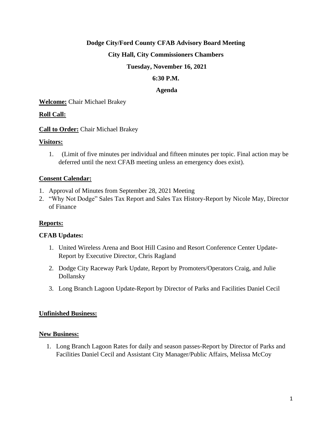# **Dodge City/Ford County CFAB Advisory Board Meeting**

# **City Hall, City Commissioners Chambers**

#### **Tuesday, November 16, 2021**

#### **6:30 P.M.**

#### **Agenda**

**Welcome:** Chair Michael Brakey

# **Roll Call:**

**Call to Order:** Chair Michael Brakey

#### **Visitors:**

1. (Limit of five minutes per individual and fifteen minutes per topic. Final action may be deferred until the next CFAB meeting unless an emergency does exist).

#### **Consent Calendar:**

- 1. Approval of Minutes from September 28, 2021 Meeting
- 2. "Why Not Dodge" Sales Tax Report and Sales Tax History-Report by Nicole May, Director of Finance

# **Reports:**

# **CFAB Updates:**

- 1. United Wireless Arena and Boot Hill Casino and Resort Conference Center Update-Report by Executive Director, Chris Ragland
- 2. Dodge City Raceway Park Update, Report by Promoters/Operators Craig, and Julie Dollansky
- 3. Long Branch Lagoon Update-Report by Director of Parks and Facilities Daniel Cecil

#### **Unfinished Business:**

#### **New Business:**

1. Long Branch Lagoon Rates for daily and season passes-Report by Director of Parks and Facilities Daniel Cecil and Assistant City Manager/Public Affairs, Melissa McCoy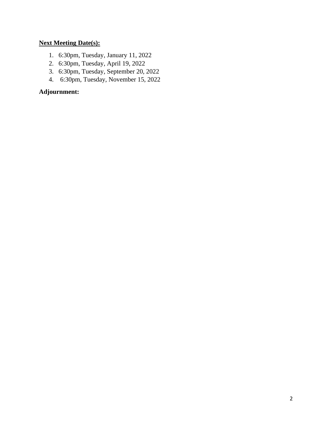# **Next Meeting Date(s):**

- 1. 6:30pm, Tuesday, January 11, 2022
- 2. 6:30pm, Tuesday, April 19, 2022
- 3. 6:30pm, Tuesday, September 20, 2022
- 4. 6:30pm, Tuesday, November 15, 2022

# **Adjournment:**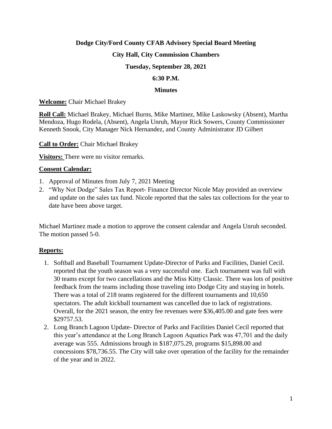# **Dodge City/Ford County CFAB Advisory Special Board Meeting**

# **City Hall, City Commission Chambers**

# **Tuesday, September 28, 2021**

#### **6:30 P.M.**

#### **Minutes**

#### **Welcome:** Chair Michael Brakey

**Roll Call:** Michael Brakey, Michael Burns, Mike Martinez, Mike Laskowsky (Absent), Martha Mendoza, Hugo Rodela, (Absent), Angela Unruh, Mayor Rick Sowers, County Commissioner Kenneth Snook, City Manager Nick Hernandez, and County Administrator JD Gilbert

#### **Call to Order:** Chair Michael Brakey

**Visitors:** There were no visitor remarks.

# **Consent Calendar:**

- 1. Approval of Minutes from July 7, 2021 Meeting
- 2. "Why Not Dodge" Sales Tax Report- Finance Director Nicole May provided an overview and update on the sales tax fund. Nicole reported that the sales tax collections for the year to date have been above target.

Michael Martinez made a motion to approve the consent calendar and Angela Unruh seconded. The motion passed 5-0.

# **Reports:**

- 1. Softball and Baseball Tournament Update-Director of Parks and Facilities, Daniel Cecil. reported that the youth season was a very successful one. Each tournament was full with 30 teams except for two cancellations and the Miss Kitty Classic. There was lots of positive feedback from the teams including those traveling into Dodge City and staying in hotels. There was a total of 218 teams registered for the different tournaments and 10,650 spectators. The adult kickball tournament was cancelled due to lack of registrations. Overall, for the 2021 season, the entry fee revenues were \$36,405.00 and gate fees were \$29757.53.
- 2. Long Branch Lagoon Update- Director of Parks and Facilities Daniel Cecil reported that this year's attendance at the Long Branch Lagoon Aquatics Park was 47,701 and the daily average was 555. Admissions brough in \$187,075.29, programs \$15,898.00 and concessions \$78,736.55. The City will take over operation of the facility for the remainder of the year and in 2022.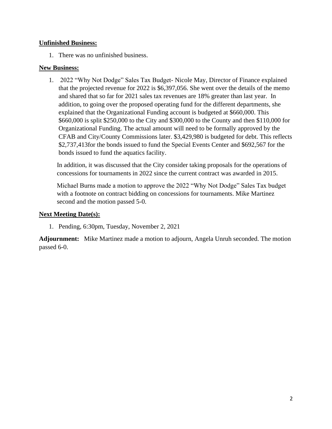# **Unfinished Business:**

1. There was no unfinished business.

# **New Business:**

1. 2022 "Why Not Dodge" Sales Tax Budget- Nicole May, Director of Finance explained that the projected revenue for 2022 is \$6,397,056. She went over the details of the memo and shared that so far for 2021 sales tax revenues are 18% greater than last year. In addition, to going over the proposed operating fund for the different departments, she explained that the Organizational Funding account is budgeted at \$660,000. This \$660,000 is split \$250,000 to the City and \$300,000 to the County and then \$110,000 for Organizational Funding. The actual amount will need to be formally approved by the CFAB and City/County Commissions later. \$3,429,980 is budgeted for debt. This reflects \$2,737,413for the bonds issued to fund the Special Events Center and \$692,567 for the bonds issued to fund the aquatics facility.

In addition, it was discussed that the City consider taking proposals for the operations of concessions for tournaments in 2022 since the current contract was awarded in 2015.

Michael Burns made a motion to approve the 2022 "Why Not Dodge" Sales Tax budget with a footnote on contract bidding on concessions for tournaments. Mike Martinez second and the motion passed 5-0.

# **Next Meeting Date(s):**

1. Pending, 6:30pm, Tuesday, November 2, 2021

**Adjournment:** Mike Martinez made a motion to adjourn, Angela Unruh seconded. The motion passed 6-0.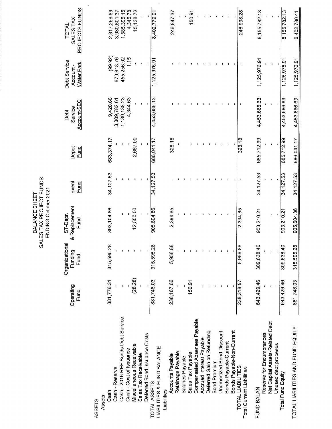SALES TAX PROJECT FUNDS ENDING October 2021 BALANCE SHEET

PROJECTS FUNDS 2,817,298.89 3,980,601.37 1,585,395.15 4,345.78 15,138.72 8,402,779.91 150.91 246,998.28 8,155,782.13 8,155,782.13 246,847.37 8,402,780.41 SALES TAX **TOTAL**  $(99.92)$  $1.15$ 670,818.76 455,256.92 1,125,976.91 1,125,976.91 1,125,976.91  $\frac{1}{1}$ , 125, 976.91 Debt Service **Water Park** Account-4,453,686.13 4,453,686.63 9,420.66 1,130,138.23 4,344.63 4,453,686.63 3,309,782.61 4,453,686.63 Account-SEC Service Debt 685,712.99 683,374.17 2,667.00 686,041.17 328.18 685,712.99 686,041.17 328.18 Depot<br><u>Fund</u> 34, 127.53 34,12753 34,127.53 34,127.53 34,127.53 Event<br>Fund & Replacement 893,104.86 905,604.86 12,500.00 2,394.65 903,210.21 905,604.86  $2,394.65$  $903,210.21$ ST-Depr. Fund Organizational 315,595.28 5,956.88 309,638.40 315,595.28 309,638.40 5,956.88 315,595.28 Funding **Fund**  $(28.28)$ 643,429.46 881,776.31 238,167.66 881,748.03 150.91 643,429.46 881,748.03 238,318.57 Operating Fund Cash - 2016 REF Bonds Debt Service Compensated Absenses Payable Net Capital Assets-Related Debt TOTAL LIABILITIES AND FUND EQUITY Deferred Gain on Refunding Bonds Payable-Non-Current Unamortized Bond Discount Deferred Bond Issuance Costs Reserve for Encumbrances Accrued Interest Payable Bonds Payable-Current Unused debt proceeds Miscellaneous Receivable LIABILITIES & FUND BALANCE Cash - Cost of Issuance Retainage Payable Sales Tax Payable Sales Tax Receivable Accounts Payable Salaries Payable **Bond Premium** TOTAL LIABILITIES Cash - Reserve Total Current Liabilities Total Fund Equity TOTAL ASSETS FUND BALAN Cash Liabilities Assets ASSETS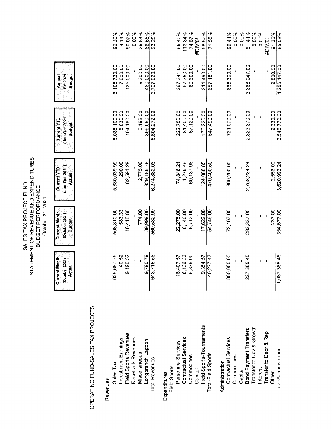|                                             | <b>Current Month</b><br>(October 2021)<br><b>Actual</b> | <b>Current Month</b><br>(October 2021)<br><b>Budget</b> | (Jan-Oct 2021)<br>Current YTD<br><b>Actual</b> | (Jan-Oct 2021)<br>Current YTD<br><b>Budget</b> | <b>Budget</b><br>FY 2021<br>Annual |                   |
|---------------------------------------------|---------------------------------------------------------|---------------------------------------------------------|------------------------------------------------|------------------------------------------------|------------------------------------|-------------------|
| OPERATING FUND-SALES TAX PROJECTS           |                                                         |                                                         |                                                |                                                |                                    |                   |
| Revenues                                    |                                                         |                                                         |                                                |                                                |                                    |                   |
| Sales Tax                                   | 629,687.75                                              | 508,810.00                                              | 5,880,039.99                                   | 5,088,100.00                                   | 6,105,720.00                       | 96.30%            |
| <b>Investment Earnings</b>                  | 40.52                                                   | 583.33                                                  | 290.00                                         | 5,830.00                                       | 7,000.00                           | 4.14%             |
| Field Sports Revenues<br>Racetrack Revenues | 9,196.52                                                | 10,416.66                                               | 62,591.29                                      | 104,160.00                                     | 125,000.00                         | 0.00%<br>50.07%   |
| Miscellaneous                               |                                                         | 774.00                                                  | 2,775.00                                       | 6,192.00                                       | 9,300.00                           | 29.84%            |
| Longbranch Lagoon                           | 9,790.79                                                | 39,999.00                                               | 329, 185.78                                    | 399,990.00                                     | 480,000.00                         | 68.58%            |
| <b>Total Revenues</b>                       | 648,715.58                                              | 560,582.99                                              | 6,274,882.06                                   | 5,604,272.00                                   | 6,727,020.00                       | 93.28%            |
| Field Sports<br>Expenditures                |                                                         |                                                         |                                                |                                                |                                    |                   |
| Personnel Services                          | 16,407.57                                               | 22,275.00                                               | 174,848.21                                     | 222,750.00                                     | 267,341.00                         | 65.40%            |
| Contractual Services                        | 8,136.33                                                | 8,140.00                                                | 111,275.46                                     | 81,400.00                                      | 97,750.00                          | 113.84%           |
| Commodities                                 | 3,379.00                                                | 6,712.00                                                | 60,187.98                                      | 67,120.00                                      | 80,600.00                          | 74.67%            |
| Field Sports-Tournaments<br>Capital         | 9,354.57                                                | 17,622.00                                               | 124,088.85                                     | 176,220.00                                     | 211,490.00                         | 58.67%<br>#DIV/0! |
| Total-Field Sports                          | 40,277.47                                               | 54,749.00                                               | 470,400.50                                     | 547,490.00                                     | 657,181.00                         | 71.58%            |
| Administration                              |                                                         |                                                         |                                                |                                                |                                    |                   |
| Contractual Services<br>Commodities         | 860,000.00                                              | 72,107.00                                               | 860,200.00                                     | 721,070.00                                     | 865,300.00                         | 99.41%            |
| Capital                                     |                                                         |                                                         |                                                |                                                |                                    | 0.00%<br>0.00%    |
| Bond Payment Transfers                      | 227,385.45                                              | 282,337.00                                              | 2,758,234.24                                   | 2,823,370.00                                   | 3,388,047.00                       | 81.41%            |
| Growth<br>Transfer to Dev &                 |                                                         |                                                         |                                                |                                                |                                    | 0.00%             |
| Transfer to Depr & Repl<br>Interest         |                                                         |                                                         |                                                |                                                |                                    | 0.00%<br>#DIV/0!  |
| Other                                       |                                                         | 233.00                                                  | 2,558.00                                       | 2,330.00                                       | 2,800.00                           |                   |
| Total-Administration                        | ,385.45<br>$\frac{1}{1087}$                             | 354,677.00                                              | 3,620,992.24                                   | 3,546,770.00                                   | 4,256,147.00                       | 91.36%<br>85.08%  |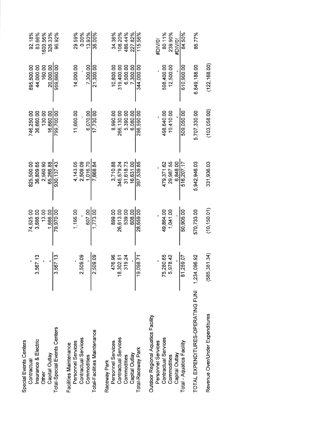| Special Events Centers<br>Contractual |                   | 74,625.00    | 825.500.00   | 746.250.00    | 895,500.00    | 92.18%   |
|---------------------------------------|-------------------|--------------|--------------|---------------|---------------|----------|
| Insurance & Electric                  | 3,567.13          | 3,666.00     | 36.809.65    | 36,660.00     | 44,000.00     | 83.66%   |
| Other                                 |                   | 13.00        | 2,560.90     | 130.00        | 160.00        | 1600.56% |
| Capital Outlay                        |                   | 1.666.00     | 65.266.88    | 16.660.00     | 20,000.00     | 326.33%  |
| Total-Special Events Centers          | 3,567.13          | 79,970.00    | 930, 137.43  | 799,700.00    | 959,660.00    | 96.92%   |
| Facilities Maintenance                |                   |              |              |               |               |          |
| Personnel Services                    |                   | 1,166.00     | 4,143.05     | 11,660.00     | 14,000.00     | 29.59%   |
| Contractual Services                  | 2,509.09          |              | 2,509.09     |               |               | 0.00%    |
| Commodities                           |                   | 607.00       | 1.016.70     | 6.070.00      | 7.300.00      | 13.93%   |
| Total-Facilities Maintenance          | 2,509.09          | 1,773.00     | 7,668.84     | 17,730.00     | 21,300.00     | 36.00%   |
| Raceway Park                          |                   |              |              |               |               |          |
| Personnel Services                    | 476.96            | 899.00       | 3,710.88     | 8,990.00      | 10,800.00     | 34.36%   |
| Contractual Services                  | 8,302.51          | 26,613.00    | 345,579.24   | 266,130.00    | 319.400.00    | 108.20%  |
| Commodities                           | 319.24            | 539.00       | 31,618.73    | 5,390.00      | 6,500.00      | 486.44%  |
| Capital Outlay                        |                   | 608.00       | 16.631.00    | 6.080.00      | 7.300.00      | 227.82%  |
| Total-Raceway Park                    | 19,098.71         | 28,659.00    | 397,539.85   | 286,590.00    | 344.000.00    | 115.56%  |
| Outdoor Regional Aquatics Facility    |                   |              |              |               |               |          |
| Personnel Services                    |                   |              |              |               |               | #DIV/0!  |
| Contractual Services                  | 5,280.65          | 49,864.00    | 479,371.62   | 498,640.00    | 598,400.00    | 80.11%   |
| Commodities                           | 5,978.42          | 1,041.00     | 29,987.55    | 10.410.00     | 12,500.00     | 239.90%  |
| Capital Outlay                        |                   |              | 6.848.00     |               |               | #DIV/0'  |
| Total - Aquatics Facility             | 81,259.07         | 50,905.00    | 516,207.17   | 509,050.00    | 610,900.00    | 84.50%   |
| TOTAL EXPENDITURES-OPERATING FUNI     | 1,234,096.92      | 570,733.00   | 5,942,946.03 | 5,707,330.00  | 6,849,188.00  | 86.77%   |
| Revenue Over/Under Expenditures       | 5,381.34)<br>(58) | (10, 150.01) | 331,936.03   | (103, 058.00) | (122, 168.00) |          |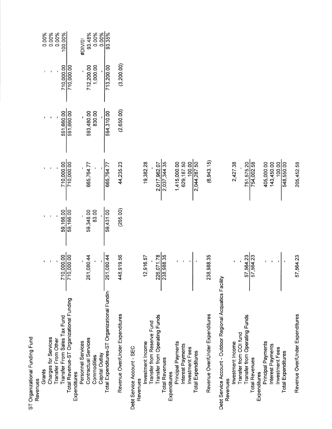| ST Organizational Funding Fund                             |                             |                                           |                                                                                                  |                          |                                    |                          |
|------------------------------------------------------------|-----------------------------|-------------------------------------------|--------------------------------------------------------------------------------------------------|--------------------------|------------------------------------|--------------------------|
| Revenues                                                   |                             |                                           |                                                                                                  |                          |                                    |                          |
| Grants                                                     |                             |                                           |                                                                                                  |                          |                                    |                          |
| Charges for Services                                       |                             |                                           |                                                                                                  |                          |                                    | 0.00%<br>0.00%           |
| Transfer From Other                                        |                             |                                           |                                                                                                  |                          |                                    | 0.00%                    |
| Transfer From Sales Tax Fund                               |                             |                                           |                                                                                                  |                          |                                    | 100.00%                  |
| Total Revenue-ST Organizational Funding<br>Expenditures    | $\frac{1000000}{710,00000}$ | $59,166.00$<br>$59,166.00$<br>$59,166.00$ | $\frac{0.00000}{1000000}$                                                                        | 591,660.00<br>591,660.00 | $\frac{710,000.00}{710,000.00}$    |                          |
| Personnel Services                                         |                             |                                           |                                                                                                  |                          |                                    | #DIV/0!                  |
| <b>Contractual Services</b>                                | 261,080.44                  | 59,348.00<br>83.00                        | 665,764.77<br>-                                                                                  | 593,480.00<br>830.00     |                                    |                          |
| Capital Outlay<br>Commodities                              |                             |                                           |                                                                                                  |                          | 712,200.00<br>1,000.00<br>1,000.00 | 93.48%<br>0.00%<br>0.00% |
| Total Expenditures-ST Organizational Fundin                | $\frac{1}{261,080.44}$      | 59,431.00                                 | 665,764.77                                                                                       | 594,310.00               | 713,200.00                         | 93.35%                   |
| Revenue Over/Under Expenditures                            | 448,919.56                  | (265.00)                                  | 44,235.23                                                                                        | (2,650.00)               | (3,200.00)                         |                          |
| Debt Service Account - SEC                                 |                             |                                           |                                                                                                  |                          |                                    |                          |
| Revenues                                                   |                             |                                           |                                                                                                  |                          |                                    |                          |
| Transfer from Reserve Fund<br>Investment Income            | 12,916.57                   |                                           | 19,382.28                                                                                        |                          |                                    |                          |
| Transfer from Operating Funds                              |                             |                                           |                                                                                                  |                          |                                    |                          |
| <b>Total Revenues</b>                                      | 226,071.78                  |                                           | 2,017,962.07<br>2,037,344.35                                                                     |                          |                                    |                          |
| Expenditures                                               |                             |                                           |                                                                                                  |                          |                                    |                          |
| Principal Payments<br>Interest Payments                    |                             |                                           | $\begin{array}{r} 1,415,000.00 \\ 629,187.50 \\ \underline{-100.00} \\ 2,044,287.50 \end{array}$ |                          |                                    |                          |
| Investment Fees                                            |                             |                                           |                                                                                                  |                          |                                    |                          |
| <b>Total Expenditures</b>                                  |                             |                                           |                                                                                                  |                          |                                    |                          |
| Revenue Over/Under Expenditures                            | 238,988.35                  |                                           | (6,943.15)                                                                                       |                          |                                    |                          |
| Debt Service Account - Outdoor Regional Acquatics Facility |                             |                                           |                                                                                                  |                          |                                    |                          |
| Investment Income<br>Revenues                              |                             |                                           |                                                                                                  |                          |                                    |                          |
| Transfer from COI fund                                     |                             |                                           | 2,427.38                                                                                         |                          |                                    |                          |
| Transfer from Operating Funds                              |                             |                                           |                                                                                                  |                          |                                    |                          |
| <b>Total Revenues</b>                                      | 57,564.23                   |                                           | 751,575.20<br>754,002.58                                                                         |                          |                                    |                          |
| Principal Payments<br>Expenditures                         |                             |                                           |                                                                                                  |                          |                                    |                          |
| Interest Payments                                          |                             |                                           | 405,000.00<br>143,450.00                                                                         |                          |                                    |                          |
| Investment Fees                                            |                             |                                           | 100.00                                                                                           |                          |                                    |                          |
| <b>Total Expenditures</b>                                  |                             |                                           | 548,550.00                                                                                       |                          |                                    |                          |
| Revenue Over/Under Expenditures                            | 57,564.23                   |                                           | 205,452.58                                                                                       |                          |                                    |                          |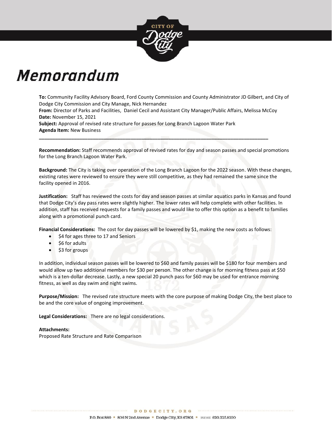

# Memorandum

**To:** Community Facility Advisory Board, Ford County Commission and County Administrator JD Gilbert, and City of Dodge City Commission and City Manage, Nick Hernandez

**From:** Director of Parks and Facilities, Daniel Cecil and Assistant City Manager/Public Affairs, Melissa McCoy **Date:** November 15, 2021

**\_\_\_\_\_\_\_\_\_\_\_\_\_\_\_\_\_\_\_\_\_\_\_\_\_\_\_\_\_\_\_\_\_\_\_\_\_\_\_\_\_\_\_\_\_\_\_\_\_\_\_\_\_\_\_\_\_\_\_\_\_\_\_\_\_\_\_\_\_\_\_\_\_\_\_\_\_\_\_\_\_\_\_\_\_**

**Subject:** Approval of revised rate structure for passes for Long Branch Lagoon Water Park **Agenda Item:** New Business

**Recommendation:** Staff recommends approval of revised rates for day and season passes and special promotions for the Long Branch Lagoon Water Park.

**Background:** The City is taking over operation of the Long Branch Lagoon for the 2022 season. With these changes, existing rates were reviewed to ensure they were still competitive, as they had remained the same since the facility opened in 2016.

**Justification:** Staff has reviewed the costs for day and season passes at similar aquatics parks in Kansas and found that Dodge City's day pass rates were slightly higher. The lower rates will help complete with other facilities. In addition, staff has received requests for a family passes and would like to offer this option as a benefit to families along with a promotional punch card.

**Financial Considerations:** The cost for day passes will be lowered by \$1, making the new costs as follows:

- \$4 for ages three to 17 and Seniors
- \$6 for adults
- \$3 for groups

In addition, individual season passes will be lowered to \$60 and family passes will be \$180 for four members and would allow up two additional members for \$30 per person. The other change is for morning fitness pass at \$50 which is a ten-dollar decrease. Lastly, a new special 20 punch pass for \$60 may be used for entrance morning fitness, as well as day swim and night swims.

**Purpose/Mission:** The revised rate structure meets with the core purpose of making Dodge City, the best place to be and the core value of ongoing improvement.

**Legal Considerations:** There are no legal considerations.

. . . . . . . . . . . . . . . . . . .

#### **Attachments:**

Proposed Rate Structure and Rate Comparison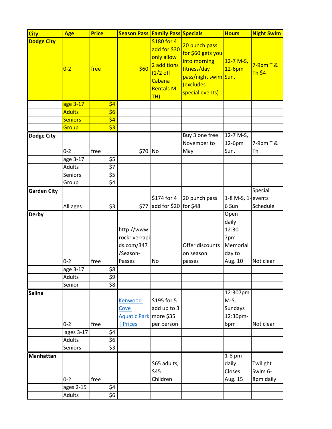| <b>Age</b>     | <b>Price</b>                    |                                                 |                                                                                                                                                                                             |                                                                                                   | <b>Hours</b>                                                                | <b>Night Swim</b>                               |
|----------------|---------------------------------|-------------------------------------------------|---------------------------------------------------------------------------------------------------------------------------------------------------------------------------------------------|---------------------------------------------------------------------------------------------------|-----------------------------------------------------------------------------|-------------------------------------------------|
| $0 - 2$        | free                            | \$60                                            | \$180 for 4<br>add for \$30<br>only allow<br>2 additions<br>$(1/2$ off<br>Cabana<br><b>Rentals M-</b><br>TH)                                                                                | 20 punch pass<br>for \$60 gets you<br>into morning<br>fitness/day<br>(excludes<br>special events) | $12 - 7 M-S,$<br>$12-6$ pm                                                  | $7-9$ pm T &<br><b>Th \$4</b>                   |
| age 3-17       |                                 |                                                 |                                                                                                                                                                                             |                                                                                                   |                                                                             |                                                 |
| <b>Adults</b>  |                                 |                                                 |                                                                                                                                                                                             |                                                                                                   |                                                                             |                                                 |
| <b>Seniors</b> |                                 |                                                 |                                                                                                                                                                                             |                                                                                                   |                                                                             |                                                 |
| Group          |                                 |                                                 |                                                                                                                                                                                             |                                                                                                   |                                                                             |                                                 |
| $0 - 2$        |                                 |                                                 |                                                                                                                                                                                             | Buy 3 one free<br>November to                                                                     | 12-7 M-S,<br>12-6pm<br>Sun.                                                 | 7-9pm T &<br>Th                                 |
|                |                                 |                                                 |                                                                                                                                                                                             |                                                                                                   |                                                                             |                                                 |
| <b>Adults</b>  |                                 |                                                 |                                                                                                                                                                                             |                                                                                                   |                                                                             |                                                 |
| Seniors        |                                 |                                                 |                                                                                                                                                                                             |                                                                                                   |                                                                             |                                                 |
| Group          |                                 |                                                 |                                                                                                                                                                                             |                                                                                                   |                                                                             |                                                 |
| All ages       |                                 | \$77                                            | \$174 for 4                                                                                                                                                                                 | 20 punch pass                                                                                     | $1-8$ M-S, $1$ -events<br>6 Sun                                             | Special<br>Schedule                             |
| $0 - 2$        | free                            | http://www.<br>ds.com/347<br>/Season-<br>Passes | No                                                                                                                                                                                          | Offer discounts<br>on season<br>passes                                                            | daily<br>12:30-<br>7pm<br>Memorial<br>day to<br>Aug. 10                     | Not clear                                       |
| age 3-17       |                                 |                                                 |                                                                                                                                                                                             |                                                                                                   |                                                                             |                                                 |
| <b>Adults</b>  |                                 |                                                 |                                                                                                                                                                                             |                                                                                                   |                                                                             |                                                 |
|                |                                 |                                                 |                                                                                                                                                                                             |                                                                                                   |                                                                             |                                                 |
| $0 - 2$        | free                            | Kenwood<br>Cove<br><b>Prices</b>                | \$195 for 5<br>add up to 3                                                                                                                                                                  |                                                                                                   | $M-S$ ,<br>Sundays<br>12:30pm-                                              | Not clear                                       |
| ages 3-17      |                                 |                                                 |                                                                                                                                                                                             |                                                                                                   |                                                                             |                                                 |
| <b>Adults</b>  |                                 |                                                 |                                                                                                                                                                                             |                                                                                                   |                                                                             |                                                 |
| <b>Seniors</b> |                                 |                                                 |                                                                                                                                                                                             |                                                                                                   |                                                                             |                                                 |
| $0 - 2$        | free                            |                                                 | \$65 adults,<br>\$45<br>Children                                                                                                                                                            |                                                                                                   | $1-8$ pm<br>daily<br>Closes<br>Aug. 15                                      | Twilight<br>Swim 6-<br>8pm daily                |
| Adults         |                                 |                                                 |                                                                                                                                                                                             |                                                                                                   |                                                                             |                                                 |
|                | age 3-17<br>Senior<br>ages 2-15 | free                                            | \$4<br>\$6<br>\$4<br>$\overline{\text{S3}}$<br>\$5<br>\$7<br>\$5<br>$\overline{\zeta_4}$<br>\$3<br>\$8<br>\$9<br>$\overline{\xi}$<br>\$4<br>\$6<br>$\overline{\overline{53}}$<br>\$4<br>\$6 | \$70 No<br>rockriverrapi<br>Aquatic Park more \$35<br>per person                                  | <b>Season Pass   Family Pass   Specials</b><br>May<br>add for \$20 for \$48 | pass/night swim Sun.<br>Open<br>12:307pm<br>6pm |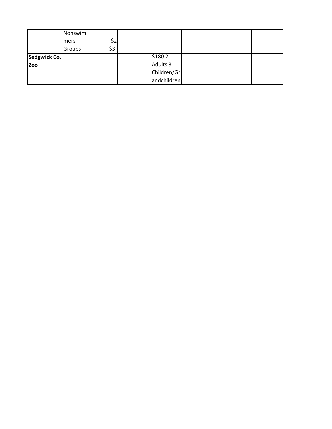|              | Nonswim |     |             |  |  |
|--------------|---------|-----|-------------|--|--|
|              | mers    | ぐっ  |             |  |  |
|              | Groups  | \$3 |             |  |  |
| Sedgwick Co. |         |     | \$1802      |  |  |
| <b>Zoo</b>   |         |     | Adults 3    |  |  |
|              |         |     | Children/Gr |  |  |
|              |         |     | andchildren |  |  |